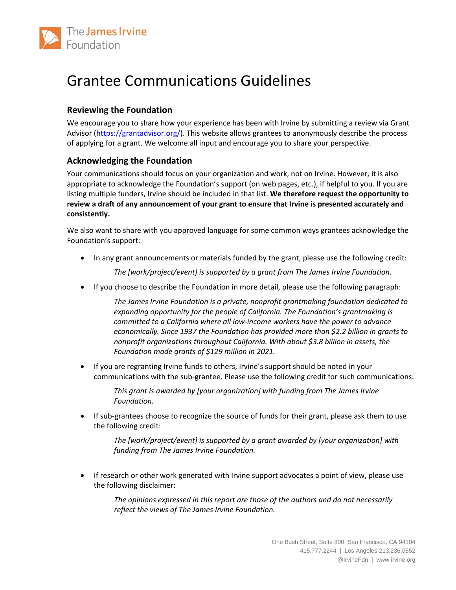

# Grantee Communications Guidelines

## **Reviewing the Foundation**

We encourage you to share how your experience has been with Irvine by submitting a review via Grant Advisor [\(https://grantadvisor.org/\)](https://grantadvisor.org/). This website allows grantees to anonymously describe the process of applying for a grant. We welcome all input and encourage you to share your perspective.

#### **Acknowledging the Foundation**

Your communications should focus on your organization and work, not on Irvine. However, it is also appropriate to acknowledge the Foundation's support (on web pages, etc.), if helpful to you. If you are listing multiple funders, Irvine should be included in that list. **We therefore request the opportunity to review a draft of any announcement of your grant to ensure that Irvine is presented accurately and consistently.** 

We also want to share with you approved language for some common ways grantees acknowledge the Foundation's support:

• In any grant announcements or materials funded by the grant, please use the following credit:

*The [work/project/event] is supported by a grant from The James Irvine Foundation.* 

• If you choose to describe the Foundation in more detail, please use the following paragraph:

*The James Irvine Foundation is a private, nonprofit grantmaking foundation dedicated to*  expanding opportunity for the people of California. The Foundation's grantmaking is *committed to a California where all low-income workers have the power to advance economically. Since 1937 the Foundation has provided more than \$2.2 billion in grants to nonprofit organizations throughout California. With about \$3.8 billion in assets, the Foundation made grants of \$129 million in 2021.*

• If you are regranting Irvine funds to others, Irvine's support should be noted in your communications with the sub-grantee. Please use the following credit for such communications:

> *This grant is awarded by [your organization] with funding from The James Irvine Foundation.*

• If sub-grantees choose to recognize the source of funds for their grant, please ask them to use the following credit:

*The [work/project/event] is supported by a grant awarded by [your organization] with funding from The James Irvine Foundation.* 

• If research or other work generated with Irvine support advocates a point of view, please use the following disclaimer:

> *The opinions expressed in this report are those of the authors and do not necessarily reflect the views of The James Irvine Foundation.*